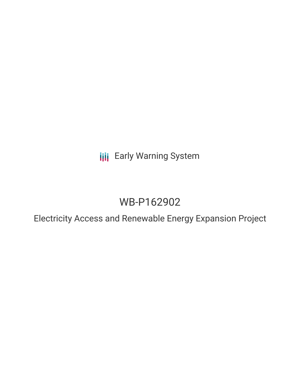**III** Early Warning System

# WB-P162902

Electricity Access and Renewable Energy Expansion Project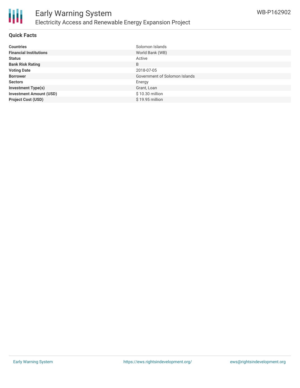

### **Quick Facts**

| <b>Countries</b>               | Solomon Islands               |
|--------------------------------|-------------------------------|
| <b>Financial Institutions</b>  | World Bank (WB)               |
| <b>Status</b>                  | Active                        |
| <b>Bank Risk Rating</b>        | B                             |
| <b>Voting Date</b>             | 2018-07-05                    |
| <b>Borrower</b>                | Government of Solomon Islands |
| <b>Sectors</b>                 | Energy                        |
| <b>Investment Type(s)</b>      | Grant, Loan                   |
| <b>Investment Amount (USD)</b> | \$10.30 million               |
| <b>Project Cost (USD)</b>      | $$19.95$ million              |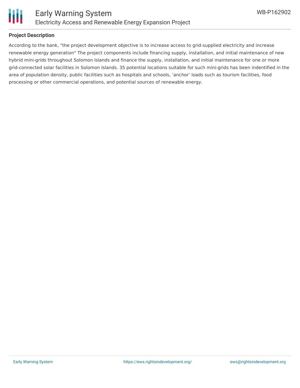

### **Project Description**

According to the bank, "the project development objective is to increase access to grid-supplied electricity and increase renewable energy generation" The project components include financing supply, installation, and initial maintenance of new hybrid mini-grids throughout Solomon Islands and finance the supply, installation, and initial maintenance for one or more grid-connected solar facilities in Solomon Islands. 35 potential locations suitable for such mini-grids has been indentified in the area of population density, public facilities such as hospitals and schools, 'anchor' loads such as tourism facilities, food processing or other commercial operations, and potential sources of renewable energy.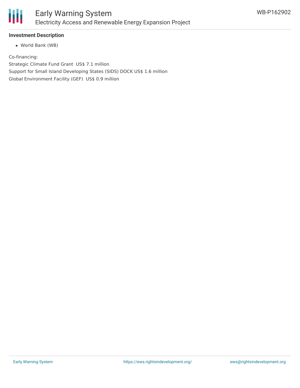

### **Investment Description**

World Bank (WB)

Co-financing:

Strategic Climate Fund Grant US\$ 7.1 million Support for Small Island Developing States (SIDS) DOCK US\$ 1.6 million Global Environment Facility (GEF) US\$ 0.9 million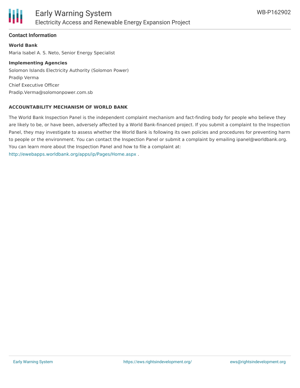

### **Contact Information**

**World Bank** Maria Isabel A. S. Neto, Senior Energy Specialist

### **Implementing Agencies**

Solomon Islands Electricity Authority (Solomon Power) Pradip Verma Chief Executive Officer Pradip.Verma@solomonpower.com.sb

### **ACCOUNTABILITY MECHANISM OF WORLD BANK**

The World Bank Inspection Panel is the independent complaint mechanism and fact-finding body for people who believe they are likely to be, or have been, adversely affected by a World Bank-financed project. If you submit a complaint to the Inspection Panel, they may investigate to assess whether the World Bank is following its own policies and procedures for preventing harm to people or the environment. You can contact the Inspection Panel or submit a complaint by emailing ipanel@worldbank.org. You can learn more about the Inspection Panel and how to file a complaint at: <http://ewebapps.worldbank.org/apps/ip/Pages/Home.aspx> .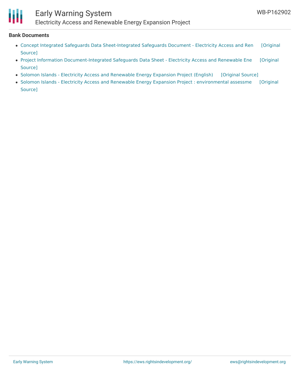# H

## Early Warning System

Electricity Access and Renewable Energy Expansion Project

#### **Bank Documents**

- Concept Integrated Safeguards Data [Sheet-Integrated](https://ewsdata.rightsindevelopment.org/files/documents/02/WB-P162902_FRrriNp.pdf) Safeguards Document Electricity Access and Ren [Original Source]
- Project Information [Document-Integrated](https://ewsdata.rightsindevelopment.org/files/documents/02/WB-P162902_e82GZd9.pdf) Safeguards Data Sheet Electricity Access and Renewable Ene [Original Source]
- Solomon Islands Electricity Access and [Renewable](https://ewsdata.rightsindevelopment.org/files/documents/02/WB-P162902.pdf) Energy Expansion Project (English) [\[Original](http://documents.worldbank.org/curated/en/772871531020654750/pdf/Solomon-Islands-Electricity-PAD-06132018.pdf) Source]
- Solomon Islands Electricity Access and Renewable Energy Expansion Project : [environmental](http://documents.worldbank.org/curated/en/842421513831589769/pdf/SFG3879-EA-P162902-Box405318B-PUBLIC-Disclosed-12-21-2017.pdf) assessme [Original Source]